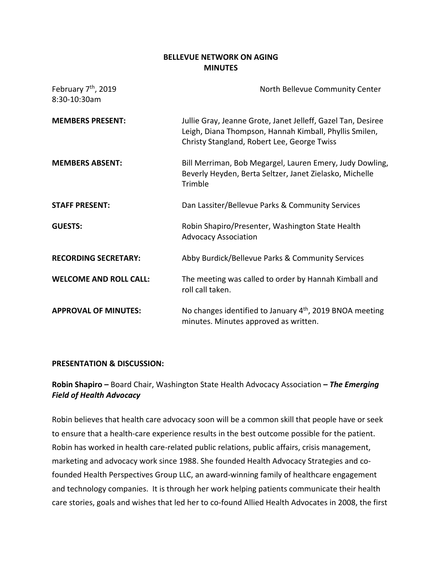### **BELLEVUE NETWORK ON AGING MINUTES**

| February 7 <sup>th</sup> , 2019<br>8:30-10:30am | North Bellevue Community Center                                                                                                                                       |
|-------------------------------------------------|-----------------------------------------------------------------------------------------------------------------------------------------------------------------------|
| <b>MEMBERS PRESENT:</b>                         | Jullie Gray, Jeanne Grote, Janet Jelleff, Gazel Tan, Desiree<br>Leigh, Diana Thompson, Hannah Kimball, Phyllis Smilen,<br>Christy Stangland, Robert Lee, George Twiss |
| <b>MEMBERS ABSENT:</b>                          | Bill Merriman, Bob Megargel, Lauren Emery, Judy Dowling,<br>Beverly Heyden, Berta Seltzer, Janet Zielasko, Michelle<br>Trimble                                        |
| <b>STAFF PRESENT:</b>                           | Dan Lassiter/Bellevue Parks & Community Services                                                                                                                      |
| <b>GUESTS:</b>                                  | Robin Shapiro/Presenter, Washington State Health<br><b>Advocacy Association</b>                                                                                       |
| <b>RECORDING SECRETARY:</b>                     | Abby Burdick/Bellevue Parks & Community Services                                                                                                                      |
| <b>WELCOME AND ROLL CALL:</b>                   | The meeting was called to order by Hannah Kimball and<br>roll call taken.                                                                                             |
| <b>APPROVAL OF MINUTES:</b>                     | No changes identified to January $4th$ , 2019 BNOA meeting<br>minutes. Minutes approved as written.                                                                   |

### **PRESENTATION & DISCUSSION:**

# **Robin Shapiro –** Board Chair, Washington State Health Advocacy Association **–** *The Emerging Field of Health Advocacy*

Robin believes that health care advocacy soon will be a common skill that people have or seek to ensure that a health-care experience results in the best outcome possible for the patient. Robin has worked in health care-related public relations, public affairs, crisis management, marketing and advocacy work since 1988. She founded Health Advocacy Strategies and cofounded Health Perspectives Group LLC, an award-winning family of healthcare engagement and technology companies. It is through her work helping patients communicate their health care stories, goals and wishes that led her to co-found Allied Health Advocates in 2008, the first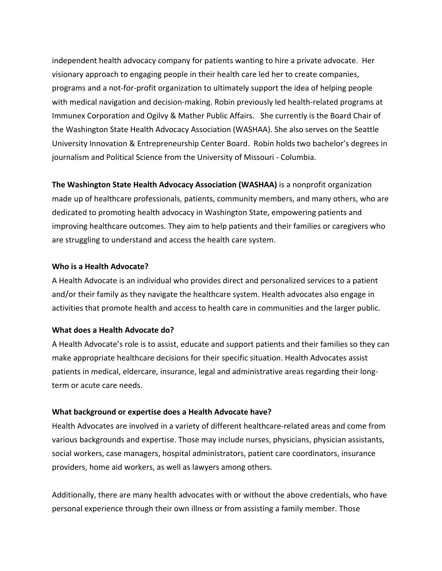independent health advocacy company for patients wanting to hire a private advocate. Her visionary approach to engaging people in their health care led her to create companies, programs and a not-for-profit organization to ultimately support the idea of helping people with medical navigation and decision-making. Robin previously led health-related programs at Immunex Corporation and Ogilvy & Mather Public Affairs. She currently is the Board Chair of the Washington State Health Advocacy Association (WASHAA). She also serves on the Seattle University Innovation & Entrepreneurship Center Board. Robin holds two bachelor's degrees in journalism and Political Science from the University of Missouri - Columbia.

**The Washington State Health Advocacy Association (WASHAA)** is a nonprofit organization made up of healthcare professionals, patients, community members, and many others, who are dedicated to promoting health advocacy in Washington State, empowering patients and improving healthcare outcomes. They aim to help patients and their families or caregivers who are struggling to understand and access the health care system.

#### **Who is a Health Advocate?**

A Health Advocate is an individual who provides direct and personalized services to a patient and/or their family as they navigate the healthcare system. Health advocates also engage in activities that promote health and access to health care in communities and the larger public.

#### **What does a Health Advocate do?**

A Health Advocate's role is to assist, educate and support patients and their families so they can make appropriate healthcare decisions for their specific situation. Health Advocates assist patients in medical, eldercare, insurance, legal and administrative areas regarding their longterm or acute care needs.

#### **What background or expertise does a Health Advocate have?**

Health Advocates are involved in a variety of different healthcare-related areas and come from various backgrounds and expertise. Those may include nurses, physicians, physician assistants, social workers, case managers, hospital administrators, patient care coordinators, insurance providers, home aid workers, as well as lawyers among others.

Additionally, there are many health advocates with or without the above credentials, who have personal experience through their own illness or from assisting a family member. Those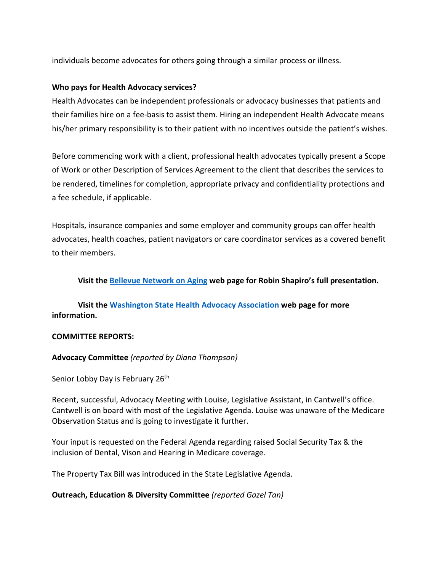individuals become advocates for others going through a similar process or illness.

### **Who pays for Health Advocacy services?**

Health Advocates can be independent professionals or advocacy businesses that patients and their families hire on a fee-basis to assist them. Hiring an independent Health Advocate means his/her primary responsibility is to their patient with no incentives outside the patient's wishes.

Before commencing work with a client, professional health advocates typically present a Scope of Work or other Description of Services Agreement to the client that describes the services to be rendered, timelines for completion, appropriate privacy and confidentiality protections and a fee schedule, if applicable.

Hospitals, insurance companies and some employer and community groups can offer health advocates, health coaches, patient navigators or care coordinator services as a covered benefit to their members.

### **Visit the [Bellevue Network on Aging](https://bellevuewa.gov/city-government/departments/community-services/boards-and-commissions/network-on-aging) web page for Robin Shapiro's full presentation.**

**Visit the [Washington State Health Advocacy Association](http://www.washaa.org/) web page for more information.**

#### **COMMITTEE REPORTS:**

### **Advocacy Committee** *(reported by Diana Thompson)*

Senior Lobby Day is February 26<sup>th</sup>

Recent, successful, Advocacy Meeting with Louise, Legislative Assistant, in Cantwell's office. Cantwell is on board with most of the Legislative Agenda. Louise was unaware of the Medicare Observation Status and is going to investigate it further.

Your input is requested on the Federal Agenda regarding raised Social Security Tax & the inclusion of Dental, Vison and Hearing in Medicare coverage.

The Property Tax Bill was introduced in the State Legislative Agenda.

### **Outreach, Education & Diversity Committee** *(reported Gazel Tan)*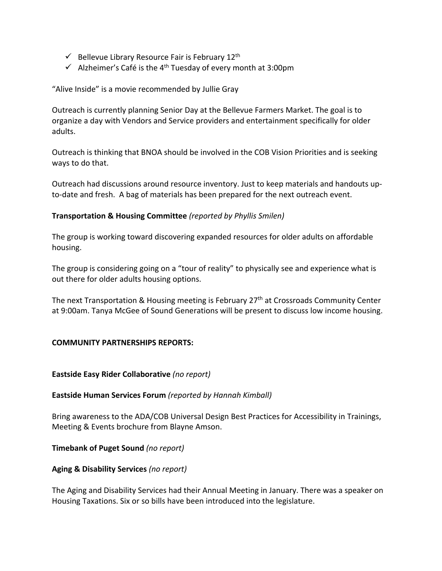- $\checkmark$  Bellevue Library Resource Fair is February 12<sup>th</sup>
- $\checkmark$  Alzheimer's Café is the 4<sup>th</sup> Tuesday of every month at 3:00pm

"Alive Inside" is a movie recommended by Jullie Gray

Outreach is currently planning Senior Day at the Bellevue Farmers Market. The goal is to organize a day with Vendors and Service providers and entertainment specifically for older adults.

Outreach is thinking that BNOA should be involved in the COB Vision Priorities and is seeking ways to do that.

Outreach had discussions around resource inventory. Just to keep materials and handouts upto-date and fresh. A bag of materials has been prepared for the next outreach event.

## **Transportation & Housing Committee** *(reported by Phyllis Smilen)*

The group is working toward discovering expanded resources for older adults on affordable housing.

The group is considering going on a "tour of reality" to physically see and experience what is out there for older adults housing options.

The next Transportation & Housing meeting is February 27<sup>th</sup> at Crossroads Community Center at 9:00am. Tanya McGee of Sound Generations will be present to discuss low income housing.

### **COMMUNITY PARTNERSHIPS REPORTS:**

### **Eastside Easy Rider Collaborative** *(no report)*

### **Eastside Human Services Forum** *(reported by Hannah Kimball)*

Bring awareness to the ADA/COB Universal Design Best Practices for Accessibility in Trainings, Meeting & Events brochure from Blayne Amson.

### **Timebank of Puget Sound** *(no report)*

### **Aging & Disability Services** *(no report)*

The Aging and Disability Services had their Annual Meeting in January. There was a speaker on Housing Taxations. Six or so bills have been introduced into the legislature.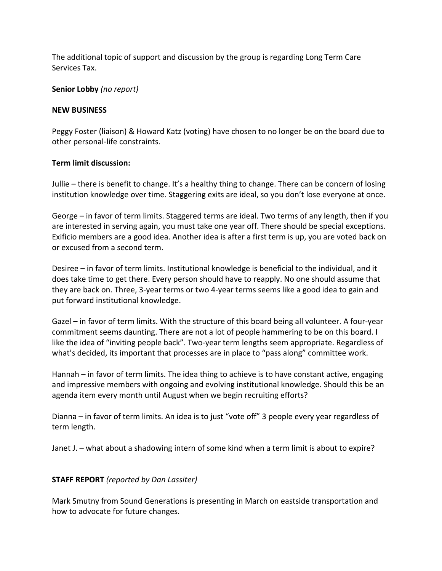The additional topic of support and discussion by the group is regarding Long Term Care Services Tax.

## **Senior Lobby** *(no report)*

### **NEW BUSINESS**

Peggy Foster (liaison) & Howard Katz (voting) have chosen to no longer be on the board due to other personal-life constraints.

## **Term limit discussion:**

Jullie – there is benefit to change. It's a healthy thing to change. There can be concern of losing institution knowledge over time. Staggering exits are ideal, so you don't lose everyone at once.

George – in favor of term limits. Staggered terms are ideal. Two terms of any length, then if you are interested in serving again, you must take one year off. There should be special exceptions. Exificio members are a good idea. Another idea is after a first term is up, you are voted back on or excused from a second term.

Desiree – in favor of term limits. Institutional knowledge is beneficial to the individual, and it does take time to get there. Every person should have to reapply. No one should assume that they are back on. Three, 3-year terms or two 4-year terms seems like a good idea to gain and put forward institutional knowledge.

Gazel – in favor of term limits. With the structure of this board being all volunteer. A four-year commitment seems daunting. There are not a lot of people hammering to be on this board. I like the idea of "inviting people back". Two-year term lengths seem appropriate. Regardless of what's decided, its important that processes are in place to "pass along" committee work.

Hannah – in favor of term limits. The idea thing to achieve is to have constant active, engaging and impressive members with ongoing and evolving institutional knowledge. Should this be an agenda item every month until August when we begin recruiting efforts?

Dianna – in favor of term limits. An idea is to just "vote off" 3 people every year regardless of term length.

Janet J. – what about a shadowing intern of some kind when a term limit is about to expire?

# **STAFF REPORT** *(reported by Dan Lassiter)*

Mark Smutny from Sound Generations is presenting in March on eastside transportation and how to advocate for future changes.